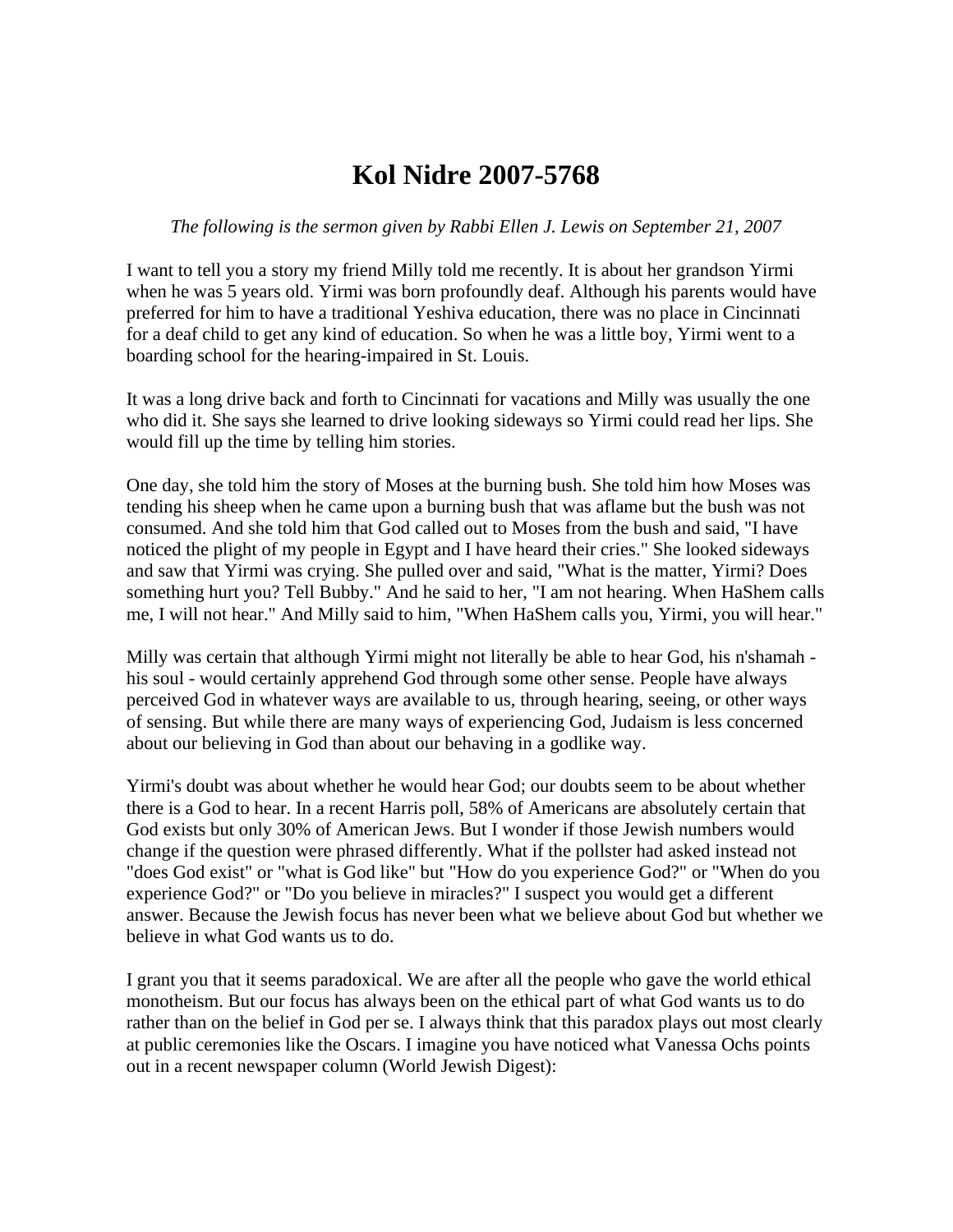## **Kol Nidre 2007-5768**

## *The following is the sermon given by Rabbi Ellen J. Lewis on September 21, 2007*

I want to tell you a story my friend Milly told me recently. It is about her grandson Yirmi when he was 5 years old. Yirmi was born profoundly deaf. Although his parents would have preferred for him to have a traditional Yeshiva education, there was no place in Cincinnati for a deaf child to get any kind of education. So when he was a little boy, Yirmi went to a boarding school for the hearing-impaired in St. Louis.

It was a long drive back and forth to Cincinnati for vacations and Milly was usually the one who did it. She says she learned to drive looking sideways so Yirmi could read her lips. She would fill up the time by telling him stories.

One day, she told him the story of Moses at the burning bush. She told him how Moses was tending his sheep when he came upon a burning bush that was aflame but the bush was not consumed. And she told him that God called out to Moses from the bush and said, "I have noticed the plight of my people in Egypt and I have heard their cries." She looked sideways and saw that Yirmi was crying. She pulled over and said, "What is the matter, Yirmi? Does something hurt you? Tell Bubby." And he said to her, "I am not hearing. When HaShem calls me, I will not hear." And Milly said to him, "When HaShem calls you, Yirmi, you will hear."

Milly was certain that although Yirmi might not literally be able to hear God, his n'shamah his soul - would certainly apprehend God through some other sense. People have always perceived God in whatever ways are available to us, through hearing, seeing, or other ways of sensing. But while there are many ways of experiencing God, Judaism is less concerned about our believing in God than about our behaving in a godlike way.

Yirmi's doubt was about whether he would hear God; our doubts seem to be about whether there is a God to hear. In a recent Harris poll, 58% of Americans are absolutely certain that God exists but only 30% of American Jews. But I wonder if those Jewish numbers would change if the question were phrased differently. What if the pollster had asked instead not "does God exist" or "what is God like" but "How do you experience God?" or "When do you experience God?" or "Do you believe in miracles?" I suspect you would get a different answer. Because the Jewish focus has never been what we believe about God but whether we believe in what God wants us to do.

I grant you that it seems paradoxical. We are after all the people who gave the world ethical monotheism. But our focus has always been on the ethical part of what God wants us to do rather than on the belief in God per se. I always think that this paradox plays out most clearly at public ceremonies like the Oscars. I imagine you have noticed what Vanessa Ochs points out in a recent newspaper column (World Jewish Digest):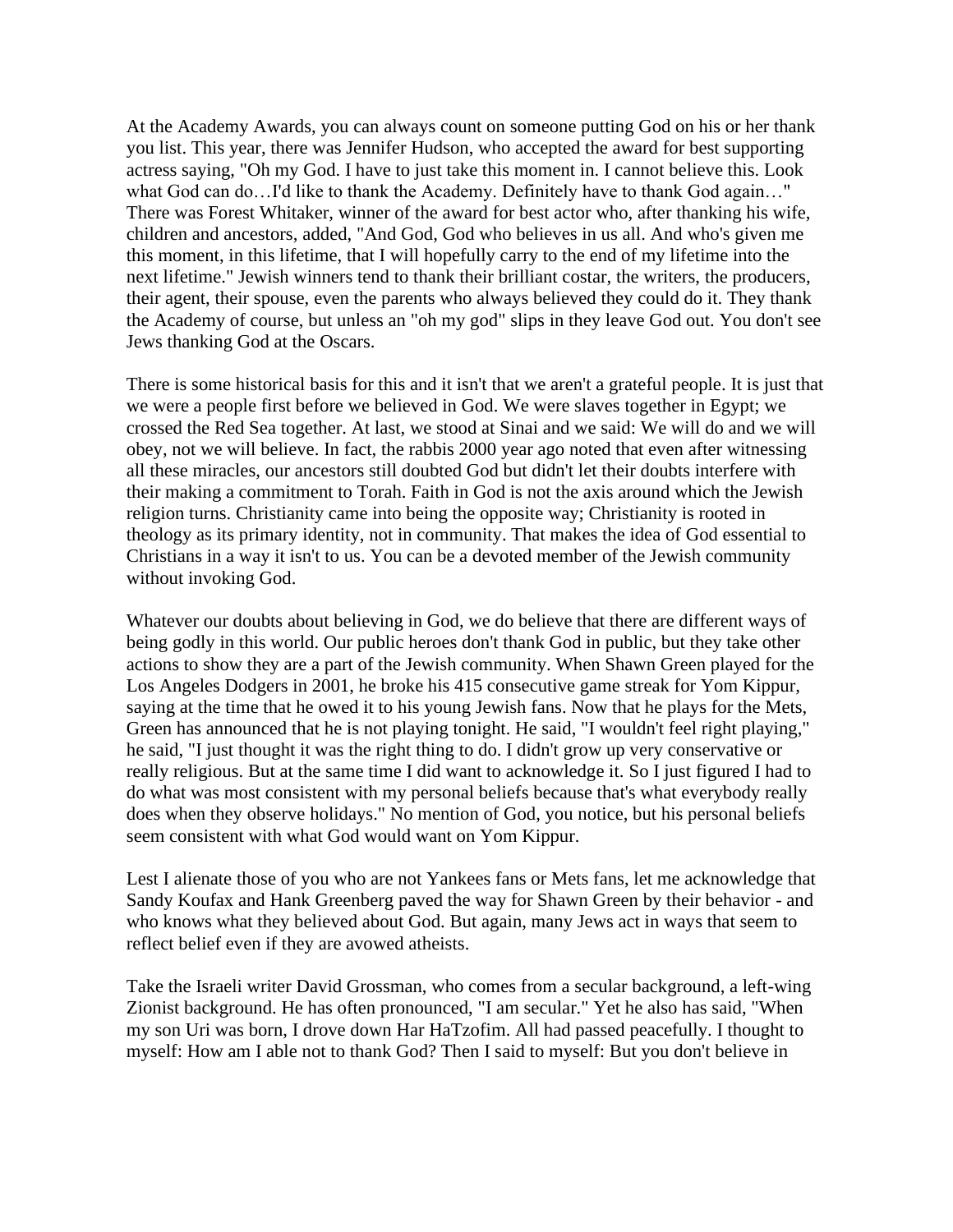At the Academy Awards, you can always count on someone putting God on his or her thank you list. This year, there was Jennifer Hudson, who accepted the award for best supporting actress saying, "Oh my God. I have to just take this moment in. I cannot believe this. Look what God can do…I'd like to thank the Academy. Definitely have to thank God again…" There was Forest Whitaker, winner of the award for best actor who, after thanking his wife, children and ancestors, added, "And God, God who believes in us all. And who's given me this moment, in this lifetime, that I will hopefully carry to the end of my lifetime into the next lifetime." Jewish winners tend to thank their brilliant costar, the writers, the producers, their agent, their spouse, even the parents who always believed they could do it. They thank the Academy of course, but unless an "oh my god" slips in they leave God out. You don't see Jews thanking God at the Oscars.

There is some historical basis for this and it isn't that we aren't a grateful people. It is just that we were a people first before we believed in God. We were slaves together in Egypt; we crossed the Red Sea together. At last, we stood at Sinai and we said: We will do and we will obey, not we will believe. In fact, the rabbis 2000 year ago noted that even after witnessing all these miracles, our ancestors still doubted God but didn't let their doubts interfere with their making a commitment to Torah. Faith in God is not the axis around which the Jewish religion turns. Christianity came into being the opposite way; Christianity is rooted in theology as its primary identity, not in community. That makes the idea of God essential to Christians in a way it isn't to us. You can be a devoted member of the Jewish community without invoking God.

Whatever our doubts about believing in God, we do believe that there are different ways of being godly in this world. Our public heroes don't thank God in public, but they take other actions to show they are a part of the Jewish community. When Shawn Green played for the Los Angeles Dodgers in 2001, he broke his 415 consecutive game streak for Yom Kippur, saying at the time that he owed it to his young Jewish fans. Now that he plays for the Mets, Green has announced that he is not playing tonight. He said, "I wouldn't feel right playing," he said, "I just thought it was the right thing to do. I didn't grow up very conservative or really religious. But at the same time I did want to acknowledge it. So I just figured I had to do what was most consistent with my personal beliefs because that's what everybody really does when they observe holidays." No mention of God, you notice, but his personal beliefs seem consistent with what God would want on Yom Kippur.

Lest I alienate those of you who are not Yankees fans or Mets fans, let me acknowledge that Sandy Koufax and Hank Greenberg paved the way for Shawn Green by their behavior - and who knows what they believed about God. But again, many Jews act in ways that seem to reflect belief even if they are avowed atheists.

Take the Israeli writer David Grossman, who comes from a secular background, a left-wing Zionist background. He has often pronounced, "I am secular." Yet he also has said, "When my son Uri was born, I drove down Har HaTzofim. All had passed peacefully. I thought to myself: How am I able not to thank God? Then I said to myself: But you don't believe in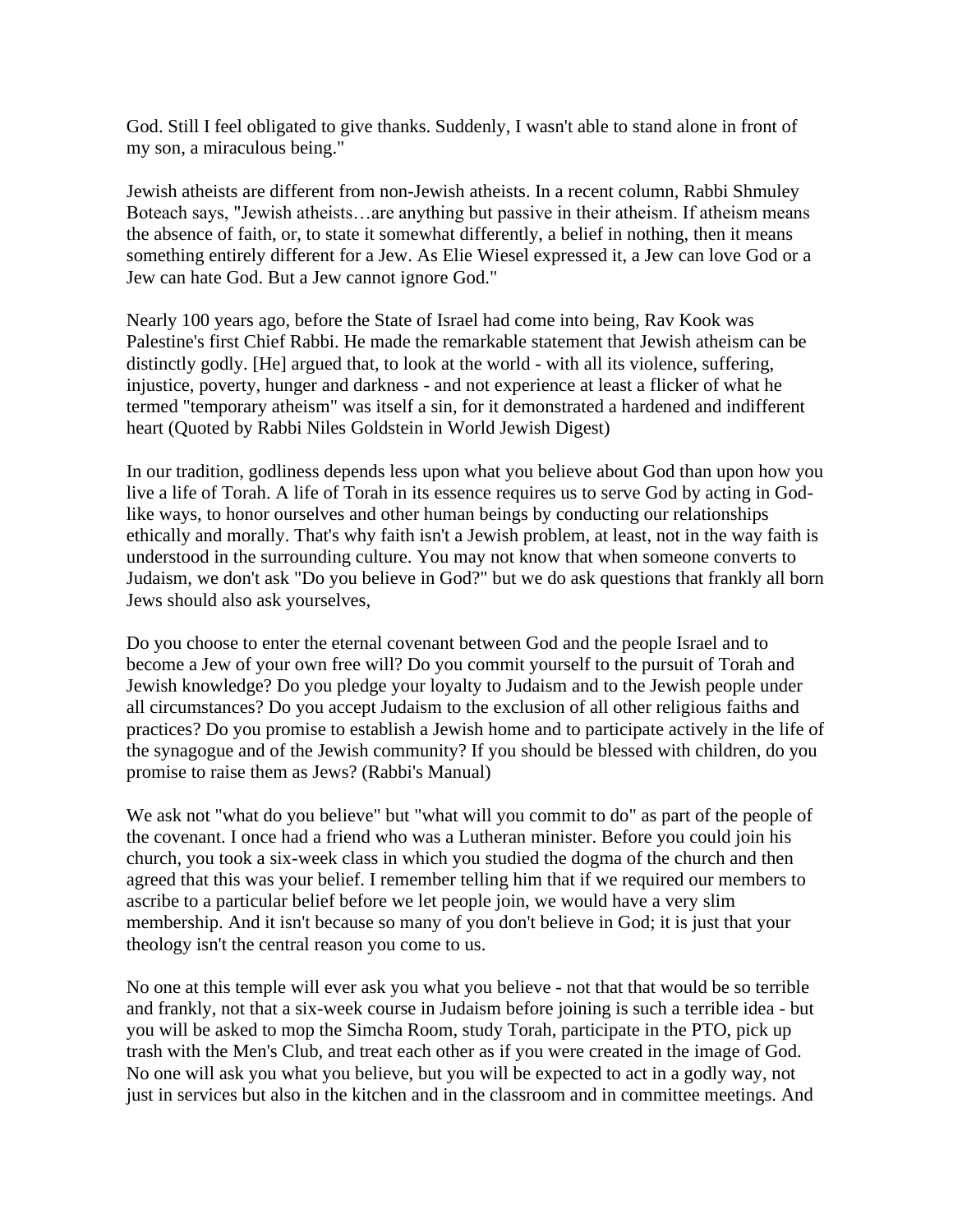God. Still I feel obligated to give thanks. Suddenly, I wasn't able to stand alone in front of my son, a miraculous being."

Jewish atheists are different from non-Jewish atheists. In a recent column, Rabbi Shmuley Boteach says, "Jewish atheists…are anything but passive in their atheism. If atheism means the absence of faith, or, to state it somewhat differently, a belief in nothing, then it means something entirely different for a Jew. As Elie Wiesel expressed it, a Jew can love God or a Jew can hate God. But a Jew cannot ignore God."

Nearly 100 years ago, before the State of Israel had come into being, Rav Kook was Palestine's first Chief Rabbi. He made the remarkable statement that Jewish atheism can be distinctly godly. [He] argued that, to look at the world - with all its violence, suffering, injustice, poverty, hunger and darkness - and not experience at least a flicker of what he termed "temporary atheism" was itself a sin, for it demonstrated a hardened and indifferent heart (Quoted by Rabbi Niles Goldstein in World Jewish Digest)

In our tradition, godliness depends less upon what you believe about God than upon how you live a life of Torah. A life of Torah in its essence requires us to serve God by acting in Godlike ways, to honor ourselves and other human beings by conducting our relationships ethically and morally. That's why faith isn't a Jewish problem, at least, not in the way faith is understood in the surrounding culture. You may not know that when someone converts to Judaism, we don't ask "Do you believe in God?" but we do ask questions that frankly all born Jews should also ask yourselves,

Do you choose to enter the eternal covenant between God and the people Israel and to become a Jew of your own free will? Do you commit yourself to the pursuit of Torah and Jewish knowledge? Do you pledge your loyalty to Judaism and to the Jewish people under all circumstances? Do you accept Judaism to the exclusion of all other religious faiths and practices? Do you promise to establish a Jewish home and to participate actively in the life of the synagogue and of the Jewish community? If you should be blessed with children, do you promise to raise them as Jews? (Rabbi's Manual)

We ask not "what do you believe" but "what will you commit to do" as part of the people of the covenant. I once had a friend who was a Lutheran minister. Before you could join his church, you took a six-week class in which you studied the dogma of the church and then agreed that this was your belief. I remember telling him that if we required our members to ascribe to a particular belief before we let people join, we would have a very slim membership. And it isn't because so many of you don't believe in God; it is just that your theology isn't the central reason you come to us.

No one at this temple will ever ask you what you believe - not that that would be so terrible and frankly, not that a six-week course in Judaism before joining is such a terrible idea - but you will be asked to mop the Simcha Room, study Torah, participate in the PTO, pick up trash with the Men's Club, and treat each other as if you were created in the image of God. No one will ask you what you believe, but you will be expected to act in a godly way, not just in services but also in the kitchen and in the classroom and in committee meetings. And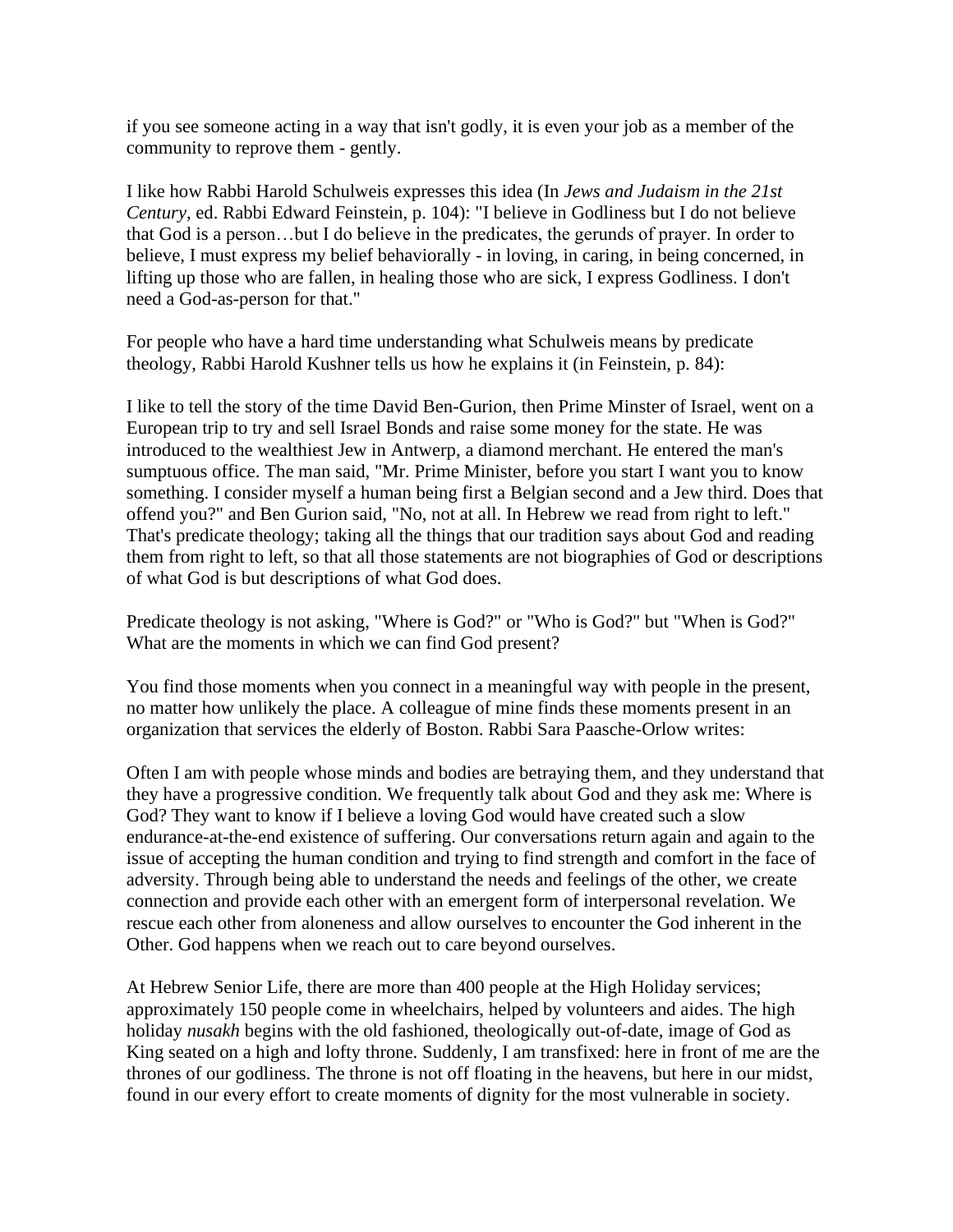if you see someone acting in a way that isn't godly, it is even your job as a member of the community to reprove them - gently.

I like how Rabbi Harold Schulweis expresses this idea (In *Jews and Judaism in the 21st Century*, ed. Rabbi Edward Feinstein, p. 104): "I believe in Godliness but I do not believe that God is a person…but I do believe in the predicates, the gerunds of prayer. In order to believe, I must express my belief behaviorally - in loving, in caring, in being concerned, in lifting up those who are fallen, in healing those who are sick, I express Godliness. I don't need a God-as-person for that."

For people who have a hard time understanding what Schulweis means by predicate theology, Rabbi Harold Kushner tells us how he explains it (in Feinstein, p. 84):

I like to tell the story of the time David Ben-Gurion, then Prime Minster of Israel, went on a European trip to try and sell Israel Bonds and raise some money for the state. He was introduced to the wealthiest Jew in Antwerp, a diamond merchant. He entered the man's sumptuous office. The man said, "Mr. Prime Minister, before you start I want you to know something. I consider myself a human being first a Belgian second and a Jew third. Does that offend you?" and Ben Gurion said, "No, not at all. In Hebrew we read from right to left." That's predicate theology; taking all the things that our tradition says about God and reading them from right to left, so that all those statements are not biographies of God or descriptions of what God is but descriptions of what God does.

Predicate theology is not asking, "Where is God?" or "Who is God?" but "When is God?" What are the moments in which we can find God present?

You find those moments when you connect in a meaningful way with people in the present, no matter how unlikely the place. A colleague of mine finds these moments present in an organization that services the elderly of Boston. Rabbi Sara Paasche-Orlow writes:

Often I am with people whose minds and bodies are betraying them, and they understand that they have a progressive condition. We frequently talk about God and they ask me: Where is God? They want to know if I believe a loving God would have created such a slow endurance-at-the-end existence of suffering. Our conversations return again and again to the issue of accepting the human condition and trying to find strength and comfort in the face of adversity. Through being able to understand the needs and feelings of the other, we create connection and provide each other with an emergent form of interpersonal revelation. We rescue each other from aloneness and allow ourselves to encounter the God inherent in the Other. God happens when we reach out to care beyond ourselves.

At Hebrew Senior Life, there are more than 400 people at the High Holiday services; approximately 150 people come in wheelchairs, helped by volunteers and aides. The high holiday *nusakh* begins with the old fashioned, theologically out-of-date, image of God as King seated on a high and lofty throne. Suddenly, I am transfixed: here in front of me are the thrones of our godliness. The throne is not off floating in the heavens, but here in our midst, found in our every effort to create moments of dignity for the most vulnerable in society.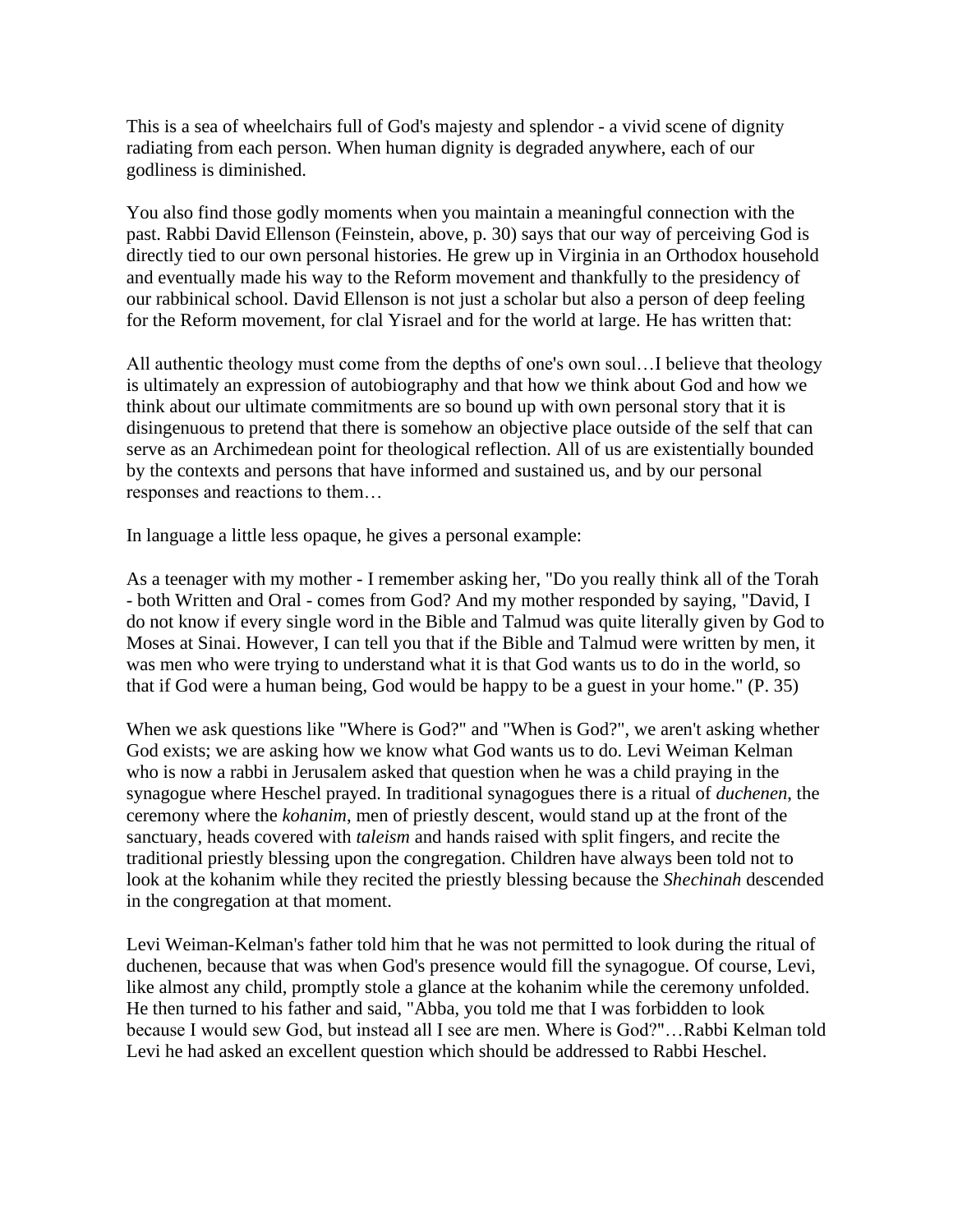This is a sea of wheelchairs full of God's majesty and splendor - a vivid scene of dignity radiating from each person. When human dignity is degraded anywhere, each of our godliness is diminished.

You also find those godly moments when you maintain a meaningful connection with the past. Rabbi David Ellenson (Feinstein, above, p. 30) says that our way of perceiving God is directly tied to our own personal histories. He grew up in Virginia in an Orthodox household and eventually made his way to the Reform movement and thankfully to the presidency of our rabbinical school. David Ellenson is not just a scholar but also a person of deep feeling for the Reform movement, for clal Yisrael and for the world at large. He has written that:

All authentic theology must come from the depths of one's own soul…I believe that theology is ultimately an expression of autobiography and that how we think about God and how we think about our ultimate commitments are so bound up with own personal story that it is disingenuous to pretend that there is somehow an objective place outside of the self that can serve as an Archimedean point for theological reflection. All of us are existentially bounded by the contexts and persons that have informed and sustained us, and by our personal responses and reactions to them…

In language a little less opaque, he gives a personal example:

As a teenager with my mother - I remember asking her, "Do you really think all of the Torah - both Written and Oral - comes from God? And my mother responded by saying, "David, I do not know if every single word in the Bible and Talmud was quite literally given by God to Moses at Sinai. However, I can tell you that if the Bible and Talmud were written by men, it was men who were trying to understand what it is that God wants us to do in the world, so that if God were a human being, God would be happy to be a guest in your home." (P. 35)

When we ask questions like "Where is God?" and "When is God?", we aren't asking whether God exists; we are asking how we know what God wants us to do. Levi Weiman Kelman who is now a rabbi in Jerusalem asked that question when he was a child praying in the synagogue where Heschel prayed. In traditional synagogues there is a ritual of *duchenen*, the ceremony where the *kohanim*, men of priestly descent, would stand up at the front of the sanctuary, heads covered with *taleism* and hands raised with split fingers, and recite the traditional priestly blessing upon the congregation. Children have always been told not to look at the kohanim while they recited the priestly blessing because the *Shechinah* descended in the congregation at that moment.

Levi Weiman-Kelman's father told him that he was not permitted to look during the ritual of duchenen, because that was when God's presence would fill the synagogue. Of course, Levi, like almost any child, promptly stole a glance at the kohanim while the ceremony unfolded. He then turned to his father and said, "Abba, you told me that I was forbidden to look because I would sew God, but instead all I see are men. Where is God?"…Rabbi Kelman told Levi he had asked an excellent question which should be addressed to Rabbi Heschel.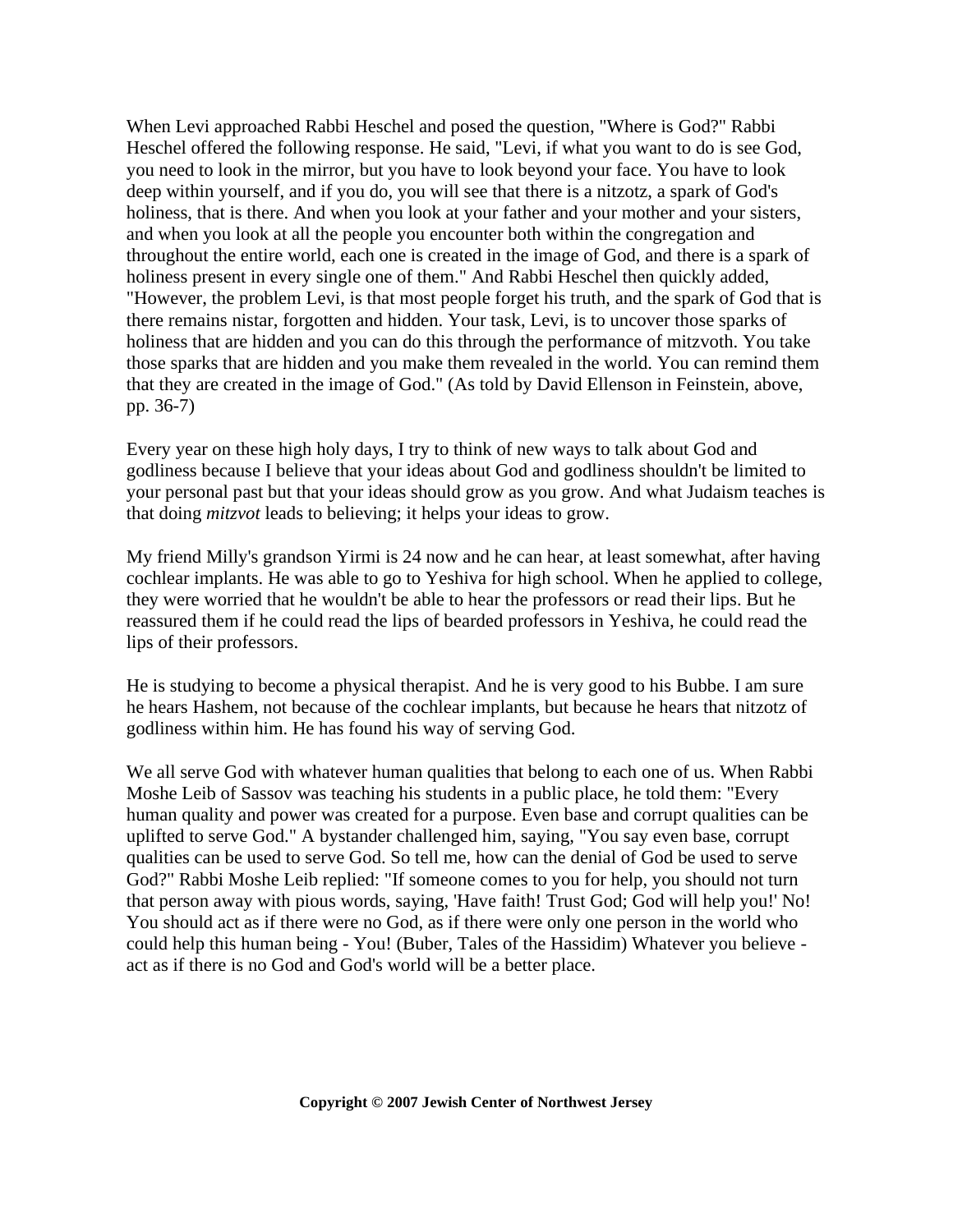When Levi approached Rabbi Heschel and posed the question, "Where is God?" Rabbi Heschel offered the following response. He said, "Levi, if what you want to do is see God, you need to look in the mirror, but you have to look beyond your face. You have to look deep within yourself, and if you do, you will see that there is a nitzotz, a spark of God's holiness, that is there. And when you look at your father and your mother and your sisters, and when you look at all the people you encounter both within the congregation and throughout the entire world, each one is created in the image of God, and there is a spark of holiness present in every single one of them." And Rabbi Heschel then quickly added, "However, the problem Levi, is that most people forget his truth, and the spark of God that is there remains nistar, forgotten and hidden. Your task, Levi, is to uncover those sparks of holiness that are hidden and you can do this through the performance of mitzvoth. You take those sparks that are hidden and you make them revealed in the world. You can remind them that they are created in the image of God." (As told by David Ellenson in Feinstein, above, pp. 36-7)

Every year on these high holy days, I try to think of new ways to talk about God and godliness because I believe that your ideas about God and godliness shouldn't be limited to your personal past but that your ideas should grow as you grow. And what Judaism teaches is that doing *mitzvot* leads to believing; it helps your ideas to grow.

My friend Milly's grandson Yirmi is 24 now and he can hear, at least somewhat, after having cochlear implants. He was able to go to Yeshiva for high school. When he applied to college, they were worried that he wouldn't be able to hear the professors or read their lips. But he reassured them if he could read the lips of bearded professors in Yeshiva, he could read the lips of their professors.

He is studying to become a physical therapist. And he is very good to his Bubbe. I am sure he hears Hashem, not because of the cochlear implants, but because he hears that nitzotz of godliness within him. He has found his way of serving God.

We all serve God with whatever human qualities that belong to each one of us. When Rabbi Moshe Leib of Sassov was teaching his students in a public place, he told them: "Every human quality and power was created for a purpose. Even base and corrupt qualities can be uplifted to serve God." A bystander challenged him, saying, "You say even base, corrupt qualities can be used to serve God. So tell me, how can the denial of God be used to serve God?" Rabbi Moshe Leib replied: "If someone comes to you for help, you should not turn that person away with pious words, saying, 'Have faith! Trust God; God will help you!' No! You should act as if there were no God, as if there were only one person in the world who could help this human being - You! (Buber, Tales of the Hassidim) Whatever you believe act as if there is no God and God's world will be a better place.